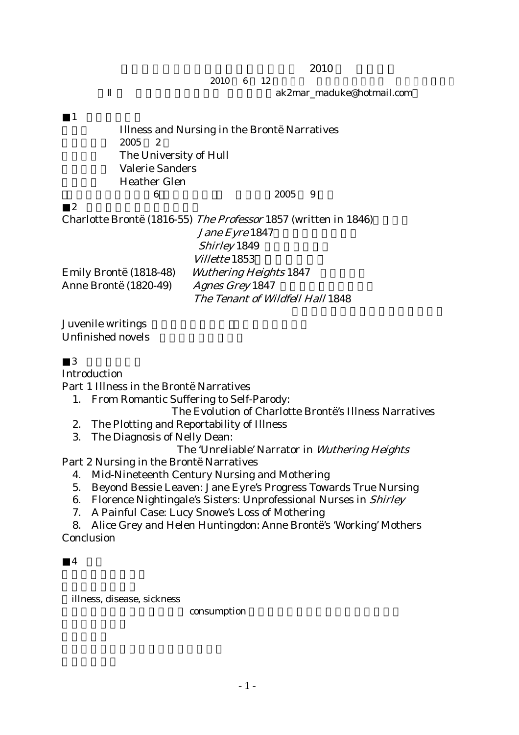$2010$ 

 $2010 \t 6 \t 12$ 

ak2mar\_maduke@hotmail.com

 $1$ 題目: Illness and Nursing in the Brontë Narratives 2005 2 The University of Hull Valerie Sanders Heather Glen 「海外大学院情報(6 :ハル大学」『英語青年』2005 9 月号  $2 \angle$ Charlotte Brontë (1816-55) The Professor 1857 (written in 1846) Jane Eyre 1847  $Shirlev$  1849 Villette 1853 Emily Brontë (1818-48) Wuthering Heights 1847

Juvenile writings Unfinished novels

3 博士論文目次

Introduction

Part 1 Illness in the Brontë Narratives

Anne Brontë (1820-49) Agnes Grey 1847

- 1. From Romantic Suffering to Self-Parody:
	- The Evolution of Charlotte Brontë's Illness Narratives

The Tenant of Wildfell Hall 1848

- 2. The Plotting and Reportability of Illness
- 3. The Diagnosis of Nelly Dean:

The 'Unreliable' Narrator in Wuthering Heights

Part 2 Nursing in the Brontë Narratives

- 4. Mid-Nineteenth Century Nursing and Mothering
- 5. Beyond Bessie Leaven: Jane Eyre's Progress Towards True Nursing
- 6. Florence Nightingale's Sisters: Unprofessional Nurses in Shirley
- 7. A Painful Case: Lucy Snowe's Loss of Mothering

8. Alice Grey and Helen Huntingdon: Anne Brontë's 'Working' Mothers Conclusion

 $\boldsymbol{\Lambda}$ 

illness, disease, sickness

consumption